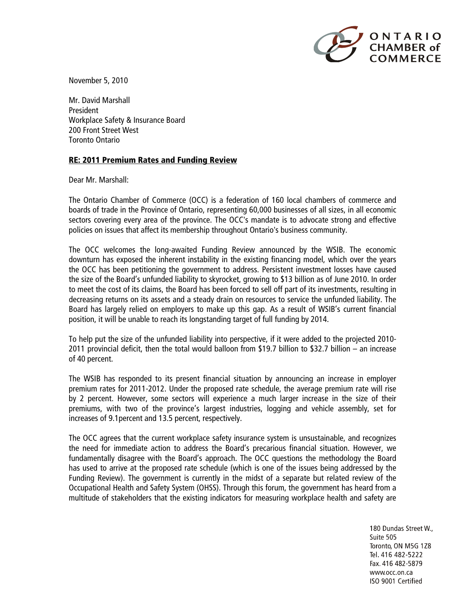

November 5, 2010

Mr. David Marshall President Workplace Safety & Insurance Board 200 Front Street West Toronto Ontario

## **RE: 2011 Premium Rates and Funding Review**

Dear Mr. Marshall:

The Ontario Chamber of Commerce (OCC) is a federation of 160 local chambers of commerce and boards of trade in the Province of Ontario, representing 60,000 businesses of all sizes, in all economic sectors covering every area of the province. The OCC's mandate is to advocate strong and effective policies on issues that affect its membership throughout Ontario's business community.

The OCC welcomes the long-awaited Funding Review announced by the WSIB. The economic downturn has exposed the inherent instability in the existing financing model, which over the years the OCC has been petitioning the government to address. Persistent investment losses have caused the size of the Board's unfunded liability to skyrocket, growing to \$13 billion as of June 2010. In order to meet the cost of its claims, the Board has been forced to sell off part of its investments, resulting in decreasing returns on its assets and a steady drain on resources to service the unfunded liability. The Board has largely relied on employers to make up this gap. As a result of WSIB's current financial position, it will be unable to reach its longstanding target of full funding by 2014.

To help put the size of the unfunded liability into perspective, if it were added to the projected 2010- 2011 provincial deficit, then the total would balloon from \$19.7 billion to \$32.7 billion – an increase of 40 percent.

The WSIB has responded to its present financial situation by announcing an increase in employer premium rates for 2011-2012. Under the proposed rate schedule, the average premium rate will rise by 2 percent. However, some sectors will experience a much larger increase in the size of their premiums, with two of the province's largest industries, logging and vehicle assembly, set for increases of 9.1percent and 13.5 percent, respectively.

The OCC agrees that the current workplace safety insurance system is unsustainable, and recognizes the need for immediate action to address the Board's precarious financial situation. However, we fundamentally disagree with the Board's approach. The OCC questions the methodology the Board has used to arrive at the proposed rate schedule (which is one of the issues being addressed by the Funding Review). The government is currently in the midst of a separate but related review of the Occupational Health and Safety System (OHSS). Through this forum, the government has heard from a multitude of stakeholders that the existing indicators for measuring workplace health and safety are

> 180 Dundas Street W., Suite 505 Toronto, ON M5G 1Z8 Tel. 416 482-5222 Fax. 416 482-5879 www.occ.on.ca ISO 9001 Certified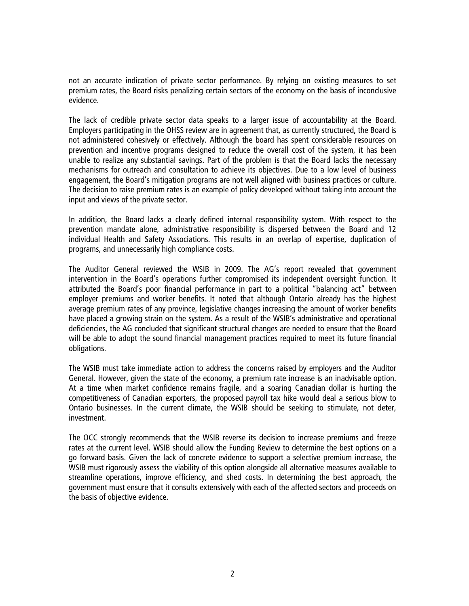not an accurate indication of private sector performance. By relying on existing measures to set premium rates, the Board risks penalizing certain sectors of the economy on the basis of inconclusive evidence.

The lack of credible private sector data speaks to a larger issue of accountability at the Board. Employers participating in the OHSS review are in agreement that, as currently structured, the Board is not administered cohesively or effectively. Although the board has spent considerable resources on prevention and incentive programs designed to reduce the overall cost of the system, it has been unable to realize any substantial savings. Part of the problem is that the Board lacks the necessary mechanisms for outreach and consultation to achieve its objectives. Due to a low level of business engagement, the Board's mitigation programs are not well aligned with business practices or culture. The decision to raise premium rates is an example of policy developed without taking into account the input and views of the private sector.

In addition, the Board lacks a clearly defined internal responsibility system. With respect to the prevention mandate alone, administrative responsibility is dispersed between the Board and 12 individual Health and Safety Associations. This results in an overlap of expertise, duplication of programs, and unnecessarily high compliance costs.

The Auditor General reviewed the WSIB in 2009. The AG's report revealed that government intervention in the Board's operations further compromised its independent oversight function. It attributed the Board's poor financial performance in part to a political "balancing act" between employer premiums and worker benefits. It noted that although Ontario already has the highest average premium rates of any province, legislative changes increasing the amount of worker benefits have placed a growing strain on the system. As a result of the WSIB's administrative and operational deficiencies, the AG concluded that significant structural changes are needed to ensure that the Board will be able to adopt the sound financial management practices required to meet its future financial obligations.

The WSIB must take immediate action to address the concerns raised by employers and the Auditor General. However, given the state of the economy, a premium rate increase is an inadvisable option. At a time when market confidence remains fragile, and a soaring Canadian dollar is hurting the competitiveness of Canadian exporters, the proposed payroll tax hike would deal a serious blow to Ontario businesses. In the current climate, the WSIB should be seeking to stimulate, not deter, investment.

The OCC strongly recommends that the WSIB reverse its decision to increase premiums and freeze rates at the current level. WSIB should allow the Funding Review to determine the best options on a go forward basis. Given the lack of concrete evidence to support a selective premium increase, the WSIB must rigorously assess the viability of this option alongside all alternative measures available to streamline operations, improve efficiency, and shed costs. In determining the best approach, the government must ensure that it consults extensively with each of the affected sectors and proceeds on the basis of objective evidence.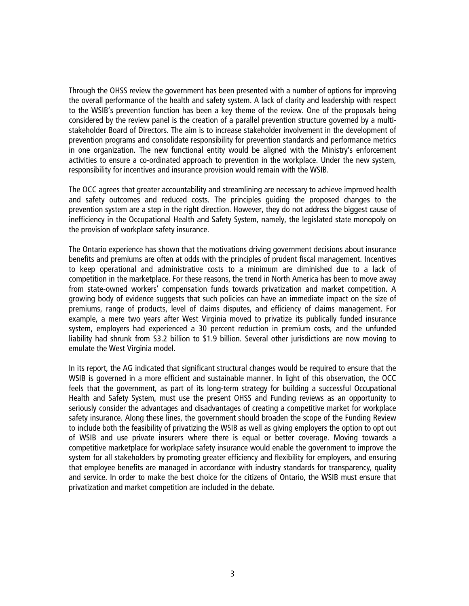Through the OHSS review the government has been presented with a number of options for improving the overall performance of the health and safety system. A lack of clarity and leadership with respect to the WSIB's prevention function has been a key theme of the review. One of the proposals being considered by the review panel is the creation of a parallel prevention structure governed by a multistakeholder Board of Directors. The aim is to increase stakeholder involvement in the development of prevention programs and consolidate responsibility for prevention standards and performance metrics in one organization. The new functional entity would be aligned with the Ministry's enforcement activities to ensure a co-ordinated approach to prevention in the workplace. Under the new system, responsibility for incentives and insurance provision would remain with the WSIB.

The OCC agrees that greater accountability and streamlining are necessary to achieve improved health and safety outcomes and reduced costs. The principles guiding the proposed changes to the prevention system are a step in the right direction. However, they do not address the biggest cause of inefficiency in the Occupational Health and Safety System, namely, the legislated state monopoly on the provision of workplace safety insurance.

The Ontario experience has shown that the motivations driving government decisions about insurance benefits and premiums are often at odds with the principles of prudent fiscal management. Incentives to keep operational and administrative costs to a minimum are diminished due to a lack of competition in the marketplace. For these reasons, the trend in North America has been to move away from state-owned workers' compensation funds towards privatization and market competition. A growing body of evidence suggests that such policies can have an immediate impact on the size of premiums, range of products, level of claims disputes, and efficiency of claims management. For example, a mere two years after West Virginia moved to privatize its publically funded insurance system, employers had experienced a 30 percent reduction in premium costs, and the unfunded liability had shrunk from \$3.2 billion to \$1.9 billion. Several other jurisdictions are now moving to emulate the West Virginia model.

In its report, the AG indicated that significant structural changes would be required to ensure that the WSIB is governed in a more efficient and sustainable manner. In light of this observation, the OCC feels that the government, as part of its long-term strategy for building a successful Occupational Health and Safety System, must use the present OHSS and Funding reviews as an opportunity to seriously consider the advantages and disadvantages of creating a competitive market for workplace safety insurance. Along these lines, the government should broaden the scope of the Funding Review to include both the feasibility of privatizing the WSIB as well as giving employers the option to opt out of WSIB and use private insurers where there is equal or better coverage. Moving towards a competitive marketplace for workplace safety insurance would enable the government to improve the system for all stakeholders by promoting greater efficiency and flexibility for employers, and ensuring that employee benefits are managed in accordance with industry standards for transparency, quality and service. In order to make the best choice for the citizens of Ontario, the WSIB must ensure that privatization and market competition are included in the debate.